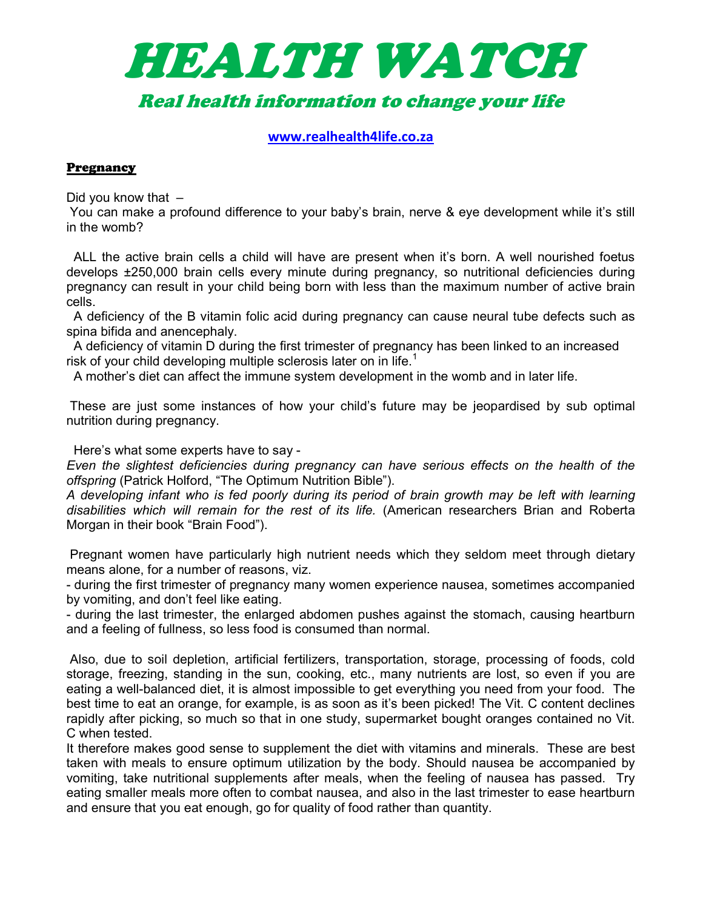

www.realhealth4life.co.za

### **Pregnancy**

Did you know that  $-$ 

 You can make a profound difference to your baby's brain, nerve & eye development while it's still in the womb?

 ALL the active brain cells a child will have are present when it's born. A well nourished foetus develops ±250,000 brain cells every minute during pregnancy, so nutritional deficiencies during pregnancy can result in your child being born with less than the maximum number of active brain cells.

 A deficiency of the B vitamin folic acid during pregnancy can cause neural tube defects such as spina bifida and anencephaly.

 A deficiency of vitamin D during the first trimester of pregnancy has been linked to an increased risk of your child developing multiple sclerosis later on in life.<sup>1</sup>

A mother's diet can affect the immune system development in the womb and in later life.

 These are just some instances of how your child's future may be jeopardised by sub optimal nutrition during pregnancy.

Here's what some experts have to say -

Even the slightest deficiencies during pregnancy can have serious effects on the health of the offspring (Patrick Holford, "The Optimum Nutrition Bible").

A developing infant who is fed poorly during its period of brain growth may be left with learning disabilities which will remain for the rest of its life. (American researchers Brian and Roberta Morgan in their book "Brain Food").

 Pregnant women have particularly high nutrient needs which they seldom meet through dietary means alone, for a number of reasons, viz.

- during the first trimester of pregnancy many women experience nausea, sometimes accompanied by vomiting, and don't feel like eating.

- during the last trimester, the enlarged abdomen pushes against the stomach, causing heartburn and a feeling of fullness, so less food is consumed than normal.

 Also, due to soil depletion, artificial fertilizers, transportation, storage, processing of foods, cold storage, freezing, standing in the sun, cooking, etc., many nutrients are lost, so even if you are eating a well-balanced diet, it is almost impossible to get everything you need from your food. The best time to eat an orange, for example, is as soon as it's been picked! The Vit. C content declines rapidly after picking, so much so that in one study, supermarket bought oranges contained no Vit. C when tested.

It therefore makes good sense to supplement the diet with vitamins and minerals. These are best taken with meals to ensure optimum utilization by the body. Should nausea be accompanied by vomiting, take nutritional supplements after meals, when the feeling of nausea has passed. Try eating smaller meals more often to combat nausea, and also in the last trimester to ease heartburn and ensure that you eat enough, go for quality of food rather than quantity.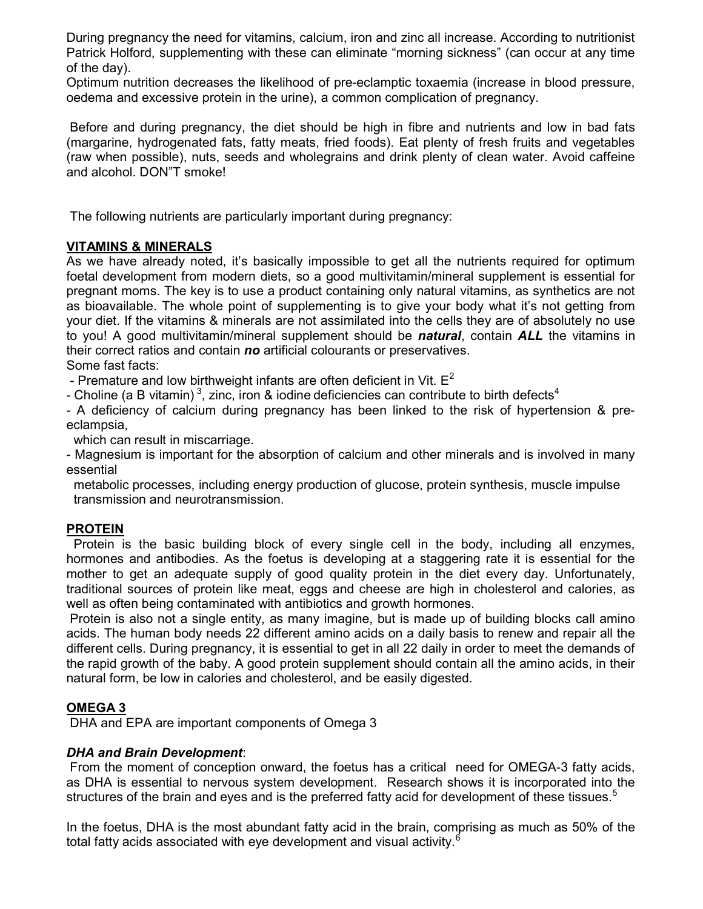During pregnancy the need for vitamins, calcium, iron and zinc all increase. According to nutritionist Patrick Holford, supplementing with these can eliminate "morning sickness" (can occur at any time of the day).

Optimum nutrition decreases the likelihood of pre-eclamptic toxaemia (increase in blood pressure, oedema and excessive protein in the urine), a common complication of pregnancy.

 Before and during pregnancy, the diet should be high in fibre and nutrients and low in bad fats (margarine, hydrogenated fats, fatty meats, fried foods). Eat plenty of fresh fruits and vegetables (raw when possible), nuts, seeds and wholegrains and drink plenty of clean water. Avoid caffeine and alcohol. DON"T smoke!

The following nutrients are particularly important during pregnancy:

# VITAMINS & MINERALS

As we have already noted, it's basically impossible to get all the nutrients required for optimum foetal development from modern diets, so a good multivitamin/mineral supplement is essential for pregnant moms. The key is to use a product containing only natural vitamins, as synthetics are not as bioavailable. The whole point of supplementing is to give your body what it's not getting from your diet. If the vitamins & minerals are not assimilated into the cells they are of absolutely no use to you! A good multivitamin/mineral supplement should be **natural**, contain ALL the vitamins in their correct ratios and contain no artificial colourants or preservatives.

Some fast facts:

- Premature and low birthweight infants are often deficient in Vit.  $E^2$ 

- Choline (a B vitamin)<sup>3</sup>, zinc, iron & iodine deficiencies can contribute to birth defects<sup>4</sup>

- A deficiency of calcium during pregnancy has been linked to the risk of hypertension & preeclampsia,

which can result in miscarriage.

- Magnesium is important for the absorption of calcium and other minerals and is involved in many essential

 metabolic processes, including energy production of glucose, protein synthesis, muscle impulse transmission and neurotransmission.

## PROTEIN

 Protein is the basic building block of every single cell in the body, including all enzymes, hormones and antibodies. As the foetus is developing at a staggering rate it is essential for the mother to get an adequate supply of good quality protein in the diet every day. Unfortunately, traditional sources of protein like meat, eggs and cheese are high in cholesterol and calories, as well as often being contaminated with antibiotics and growth hormones.

 Protein is also not a single entity, as many imagine, but is made up of building blocks call amino acids. The human body needs 22 different amino acids on a daily basis to renew and repair all the different cells. During pregnancy, it is essential to get in all 22 daily in order to meet the demands of the rapid growth of the baby. A good protein supplement should contain all the amino acids, in their natural form, be low in calories and cholesterol, and be easily digested.

# OMEGA 3

DHA and EPA are important components of Omega 3

## DHA and Brain Development:

 From the moment of conception onward, the foetus has a critical need for OMEGA-3 fatty acids, as DHA is essential to nervous system development. Research shows it is incorporated into the structures of the brain and eyes and is the preferred fatty acid for development of these tissues.<sup>5</sup>

In the foetus, DHA is the most abundant fatty acid in the brain, comprising as much as 50% of the total fatty acids associated with eye development and visual activity.<sup>6</sup>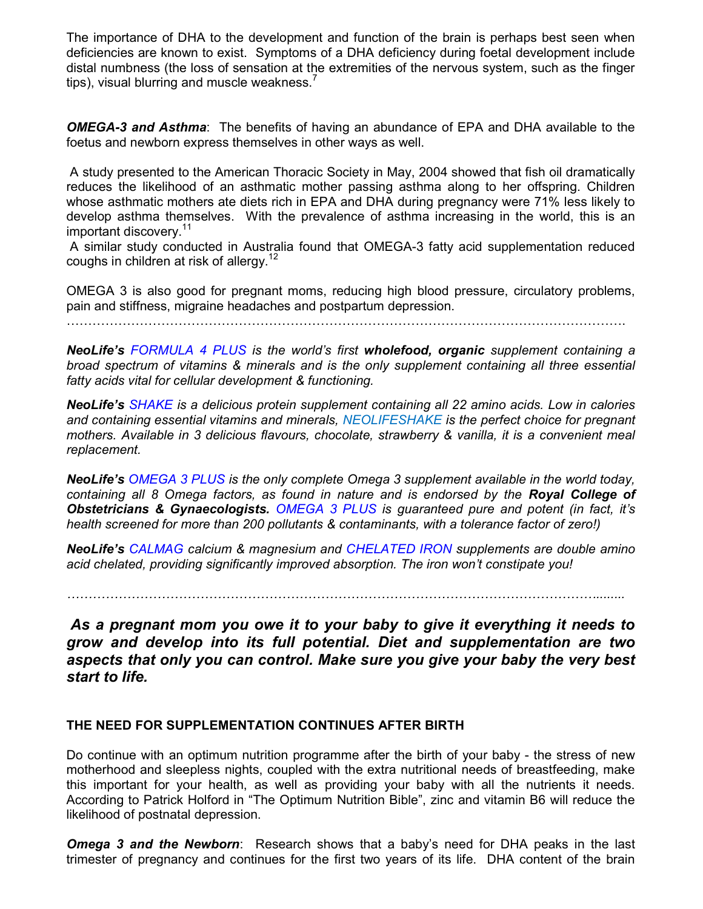The importance of DHA to the development and function of the brain is perhaps best seen when deficiencies are known to exist. Symptoms of a DHA deficiency during foetal development include distal numbness (the loss of sensation at the extremities of the nervous system, such as the finger tips), visual blurring and muscle weakness. $\prime$ 

**OMEGA-3 and Asthma:** The benefits of having an abundance of EPA and DHA available to the foetus and newborn express themselves in other ways as well.

 A study presented to the American Thoracic Society in May, 2004 showed that fish oil dramatically reduces the likelihood of an asthmatic mother passing asthma along to her offspring. Children whose asthmatic mothers ate diets rich in EPA and DHA during pregnancy were 71% less likely to develop asthma themselves. With the prevalence of asthma increasing in the world, this is an important discovery.<sup>11</sup>

 A similar study conducted in Australia found that OMEGA-3 fatty acid supplementation reduced coughs in children at risk of allergy. $12$ 

OMEGA 3 is also good for pregnant moms, reducing high blood pressure, circulatory problems, pain and stiffness, migraine headaches and postpartum depression.

………………………………………………………………………………………………………………….

NeoLife's FORMULA 4 PLUS is the world's first wholefood, organic supplement containing a broad spectrum of vitamins & minerals and is the only supplement containing all three essential fatty acids vital for cellular development & functioning.

NeoLife's SHAKE is a delicious protein supplement containing all 22 amino acids. Low in calories and containing essential vitamins and minerals, NEOLIFESHAKE is the perfect choice for pregnant mothers. Available in 3 delicious flavours, chocolate, strawberry & vanilla, it is a convenient meal replacement.

NeoLife's OMEGA 3 PLUS is the only complete Omega 3 supplement available in the world today, containing all 8 Omega factors, as found in nature and is endorsed by the Royal College of **Obstetricians & Gynaecologists.** OMEGA 3 PLUS is guaranteed pure and potent (in fact, it's health screened for more than 200 pollutants & contaminants, with a tolerance factor of zero!)

NeoLife's CALMAG calcium & magnesium and CHELATED IRON supplements are double amino acid chelated, providing significantly improved absorption. The iron won't constipate you!

……………………………………………………………………………………………………………........

 As a pregnant mom you owe it to your baby to give it everything it needs to grow and develop into its full potential. Diet and supplementation are two aspects that only you can control. Make sure you give your baby the very best start to life.

## THE NEED FOR SUPPLEMENTATION CONTINUES AFTER BIRTH

Do continue with an optimum nutrition programme after the birth of your baby - the stress of new motherhood and sleepless nights, coupled with the extra nutritional needs of breastfeeding, make this important for your health, as well as providing your baby with all the nutrients it needs. According to Patrick Holford in "The Optimum Nutrition Bible", zinc and vitamin B6 will reduce the likelihood of postnatal depression.

**Omega 3 and the Newborn**: Research shows that a baby's need for DHA peaks in the last trimester of pregnancy and continues for the first two years of its life. DHA content of the brain